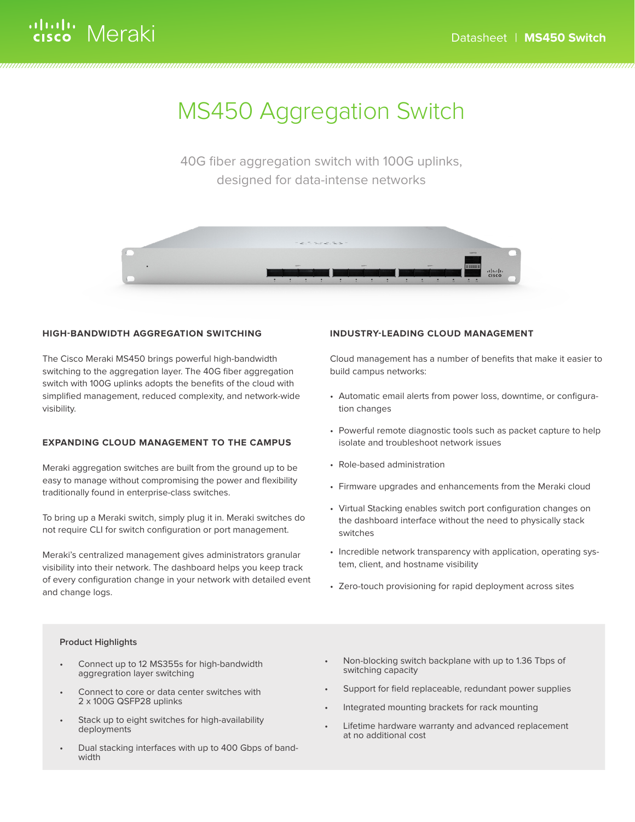# MS450 Aggregation Switch

40G fiber aggregation switch with 100G uplinks, designed for data-intense networks



### **HIGH-BANDWIDTH AGGREGATION SWITCHING**

The Cisco Meraki MS450 brings powerful high-bandwidth switching to the aggregation layer. The 40G fiber aggregation switch with 100G uplinks adopts the benefits of the cloud with simplified management, reduced complexity, and network-wide visibility.

### **EXPANDING CLOUD MANAGEMENT TO THE CAMPUS**

Meraki aggregation switches are built from the ground up to be easy to manage without compromising the power and flexibility traditionally found in enterprise-class switches.

To bring up a Meraki switch, simply plug it in. Meraki switches do not require CLI for switch configuration or port management.

Meraki's centralized management gives administrators granular visibility into their network. The dashboard helps you keep track of every configuration change in your network with detailed event and change logs.

### **INDUSTRY-LEADING CLOUD MANAGEMENT**

Cloud management has a number of benefits that make it easier to build campus networks:

- Automatic email alerts from power loss, downtime, or configuration changes
- Powerful remote diagnostic tools such as packet capture to help isolate and troubleshoot network issues
- Role-based administration
- Firmware upgrades and enhancements from the Meraki cloud
- Virtual Stacking enables switch port configuration changes on the dashboard interface without the need to physically stack switches
- Incredible network transparency with application, operating system, client, and hostname visibility
- Zero-touch provisioning for rapid deployment across sites

### **Product Highlights**

- Connect up to 12 MS355s for high-bandwidth aggregration layer switching
- Connect to core or data center switches with 2 x 100G QSFP28 uplinks
- Stack up to eight switches for high-availability deployments
- Dual stacking interfaces with up to 400 Gbps of band- width
- Non-blocking switch backplane with up to 1.36 Tbps of switching capacity
- Support for field replaceable, redundant power supplies
- Integrated mounting brackets for rack mounting
- Lifetime hardware warranty and advanced replacement at no additional cost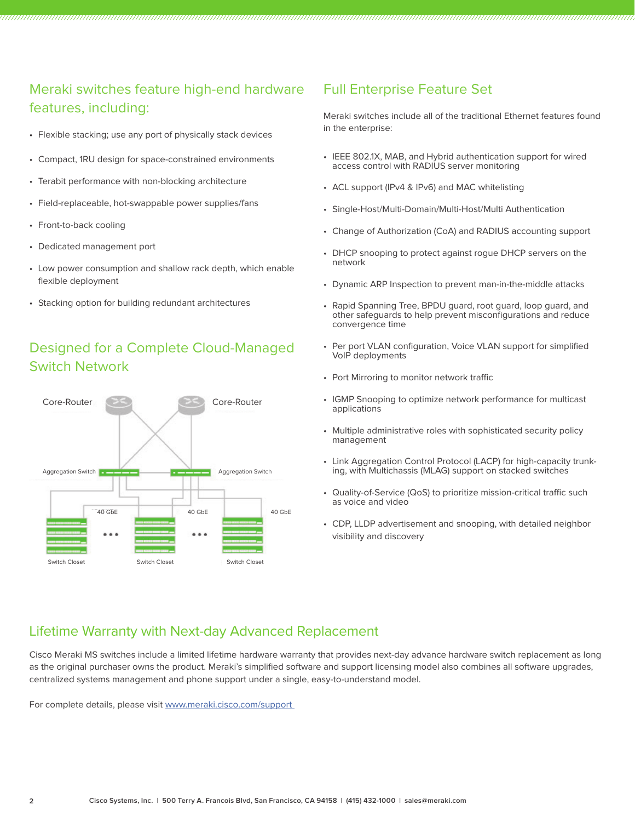### Meraki switches feature high-end hardware features, including:

- Flexible stacking; use any port of physically stack devices
- Compact, 1RU design for space-constrained environments
- Terabit performance with non-blocking architecture
- Field-replaceable, hot-swappable power supplies/fans
- Front-to-back cooling
- Dedicated management port
- Low power consumption and shallow rack depth, which enable flexible deployment
- Stacking option for building redundant architectures

### Designed for a Complete Cloud-Managed Switch Network



### Full Enterprise Feature Set

Meraki switches include all of the traditional Ethernet features found in the enterprise:

- IEEE 802.1X, MAB, and Hybrid authentication support for wired access control with RADIUS server monitoring
- ACL support (IPv4 & IPv6) and MAC whitelisting
- Single-Host/Multi-Domain/Multi-Host/Multi Authentication
- Change of Authorization (CoA) and RADIUS accounting support
- DHCP snooping to protect against rogue DHCP servers on the network
- Dynamic ARP Inspection to prevent man-in-the-middle attacks
- Rapid Spanning Tree, BPDU guard, root guard, loop guard, and other safeguards to help prevent misconfigurations and reduce convergence time
- Per port VLAN configuration, Voice VLAN support for simplified VoIP deployments
- Port Mirroring to monitor network traffic
- IGMP Snooping to optimize network performance for multicast applications
- Multiple administrative roles with sophisticated security policy management
- Link Aggregation Control Protocol (LACP) for high-capacity trunk- ing, with Multichassis (MLAG) support on stacked switches
- Quality-of-Service (QoS) to prioritize mission-critical traffic such as voice and video
- CDP, LLDP advertisement and snooping, with detailed neighbor visibility and discovery

### Lifetime Warranty with Next-day Advanced Replacement

Cisco Meraki MS switches include a limited lifetime hardware warranty that provides next-day advance hardware switch replacement as long as the original purchaser owns the product. Meraki's simplified software and support licensing model also combines all software upgrades, centralized systems management and phone support under a single, easy-to-understand model.

For complete details, please visit www.meraki.cisco.com/support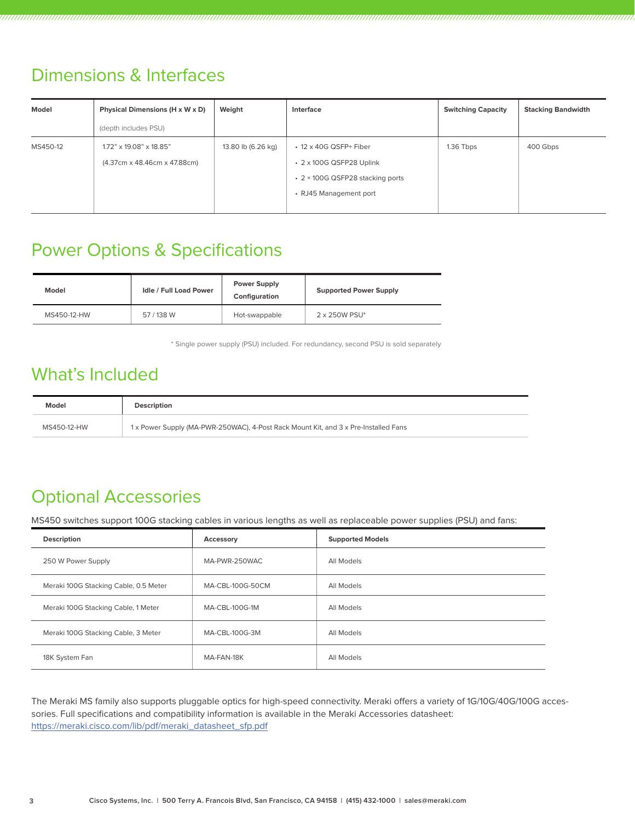## Dimensions & Interfaces

| Model    | Physical Dimensions (H x W x D) | Weight             | Interface                        | <b>Switching Capacity</b> | <b>Stacking Bandwidth</b> |
|----------|---------------------------------|--------------------|----------------------------------|---------------------------|---------------------------|
|          | (depth includes PSU)            |                    |                                  |                           |                           |
| MS450-12 | 1.72" x 19.08" x 18.85"         | 13.80 lb (6.26 kg) | $\cdot$ 12 x 40G QSFP+ Fiber     | 1.36 Tbps                 | 400 Gbps                  |
|          | (4.37cm x 48.46cm x 47.88cm)    |                    | • 2 x 100G QSFP28 Uplink         |                           |                           |
|          |                                 |                    | • 2 × 100G QSFP28 stacking ports |                           |                           |
|          |                                 |                    | • RJ45 Management port           |                           |                           |
|          |                                 |                    |                                  |                           |                           |

## Power Options & Specifications

| Model       | <b>Idle / Full Load Power</b> | <b>Power Supply</b><br>Configuration | <b>Supported Power Supply</b> |  |
|-------------|-------------------------------|--------------------------------------|-------------------------------|--|
| MS450-12-HW | 57 / 138 W                    | Hot-swappable                        | 2 x 250W PSU*                 |  |

\* Single power supply (PSU) included. For redundancy, second PSU is sold separately

## What's Included

| Model       | Description                                                                         |
|-------------|-------------------------------------------------------------------------------------|
| MS450-12-HW | 1 x Power Supply (MA-PWR-250WAC), 4-Post Rack Mount Kit, and 3 x Pre-Installed Fans |

## Optional Accessories

MS450 switches support 100G stacking cables in various lengths as well as replaceable power supplies (PSU) and fans:

| <b>Description</b>                    | Accessory        | <b>Supported Models</b> |
|---------------------------------------|------------------|-------------------------|
| 250 W Power Supply                    | MA-PWR-250WAC    | All Models              |
| Meraki 100G Stacking Cable, 0.5 Meter | MA-CBL-100G-50CM | All Models              |
| Meraki 100G Stacking Cable, 1 Meter   | MA-CBL-100G-1M   | All Models              |
| Meraki 100G Stacking Cable, 3 Meter   | MA-CBL-100G-3M   | All Models              |
| 18K System Fan                        | MA-FAN-18K       | All Models              |

The Meraki MS family also supports pluggable optics for high-speed connectivity. Meraki offers a variety of 1G/10G/40G/100G accessories. Full specifications and compatibility information is available in the Meraki Accessories datasheet: https://meraki.cisco.com/lib/pdf/meraki\_datasheet\_sfp.pdf